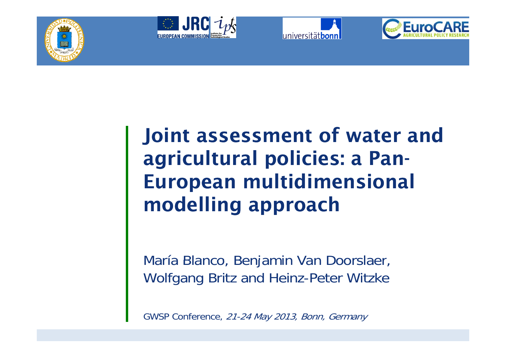







# Joint assessment of water and agricultural policies: a Pan-European multidimensional modelling approach

María Blanco, Benjamin Van Doorslaer, Wolfgang Britz and Heinz-Peter Witzke

GWSP Conference, 21-24 May 2013, Bonn, Germany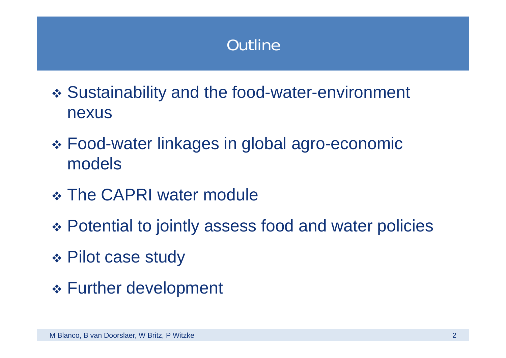## **Outline**

- \* Sustainability and the food-water-environment nexus
- \* Food-water linkages in global agro-economic models
- \* The CAPRI water module
- Potential to jointly assess food and water policies
- Pilot case study
- Further development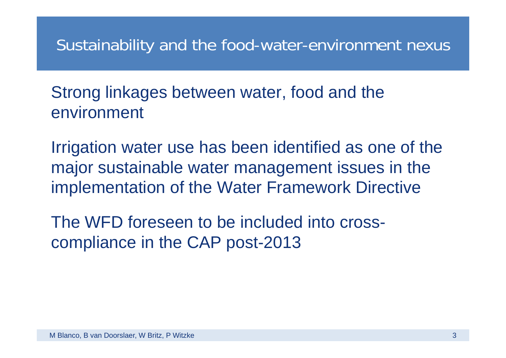#### Sustainability and the food-water-environment nexus

Strong linkages between water, food and the environment

Irrigation water use has been identified as one of the major sustainable water management issues in the implementation of the Water Framework Directive

The WFD foreseen to be included into cross compliance in the CAP post-2013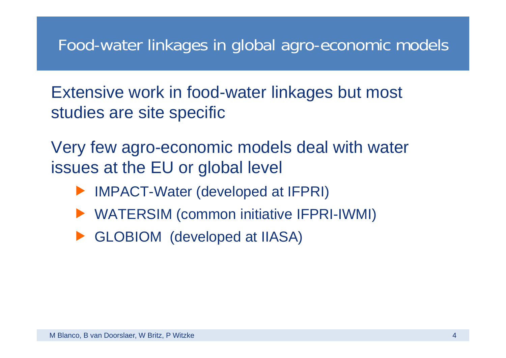#### Food-water linkages in global agro-economic models

Extensive work in food-water linkages but most studies are site specific

Very few agro-economic models deal with water issues at the EU or global level

- fIMPACT-Water (developed at IFPRI)
- ▶ WATERSIM (common initiative IFPRI-IWMI)
- **F** GLOBIOM (developed at IIASA)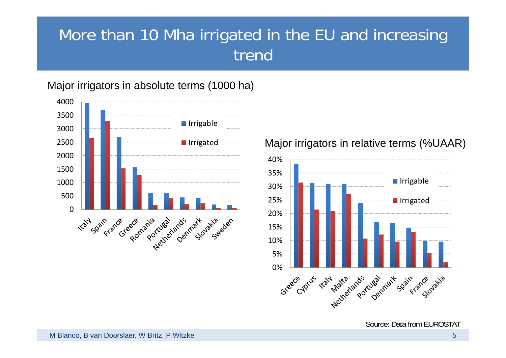#### More than 10 Mha irrigated in the EU and increasing trend

Major irrigators in absolute terms (1000 ha)



#### Major irrigators in relative terms (%UAAR)

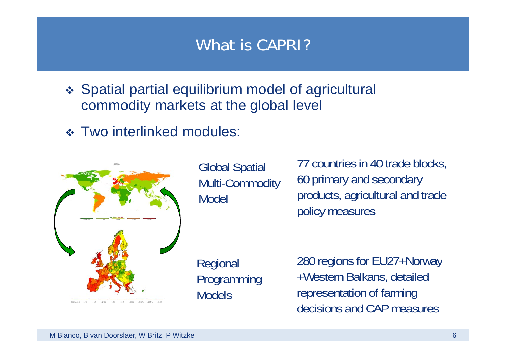#### What is CAPRI?

- Spatial partial equilibrium model of agricultural commodity markets at the global level
- Two interlinked modules:



Global Spatial Multi-Commodity Model

77 countries in 40 trade blocks, Multi-Commodity 60 primary and secondary products, agricultural and trade policy measures

Programming Models

Regional 280 regions for EU27+Norway +Western Balkans, detailed representation of farming decisions and CAP measures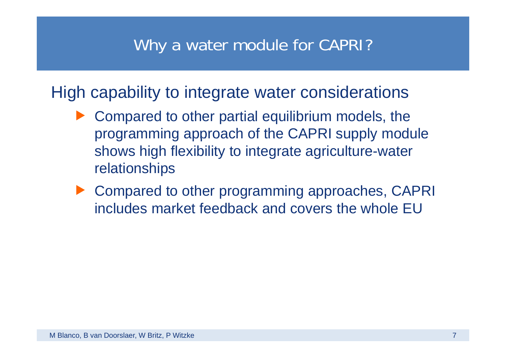#### Why a water module for CAPRI?

High capability to integrate water considerations

- $\blacktriangleright$  Compared to other partial equilibrium models, the programming approach of the CAPRI supply module shows high flexibility to integrate agriculture-water relationships
- ▶ Compared to other programming approaches, CAPRI includes market feedback and covers the whole EU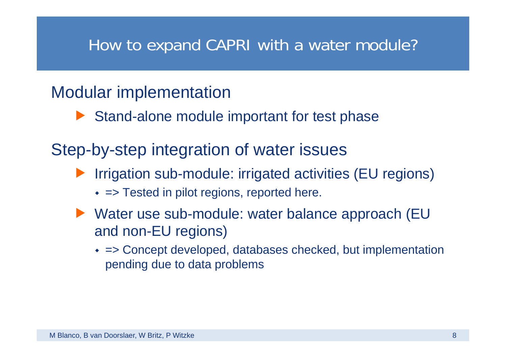#### How to expand CAPRI with a water module?

#### Modular implementation

 $\blacktriangleright$  Stand-alone module important for test phase

Step-by-step integration of water issues

- fIrrigation sub-module: irrigated activities (EU regions)
	- = Tested in pilot regions, reported here.
- ▶ Water use sub-module: water balance approach (EU and non-EU regions)
	- => Concept developed, databases checked, but implementation pending due to data problems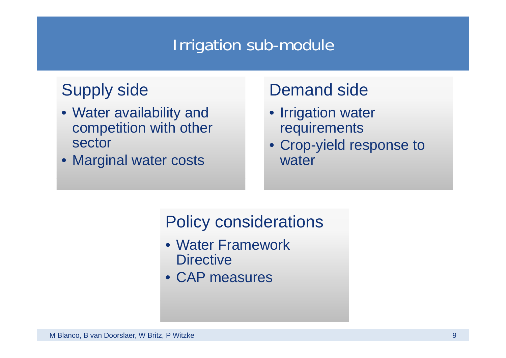#### Irrigation sub-module

- Water availability and competition with other sector
- Marginal water costs

#### Supply side Demand side

- Irrigation water requirements
- Crop-yield response to water

#### Policy considerations

- Water Framework **Directive**
- CAP measures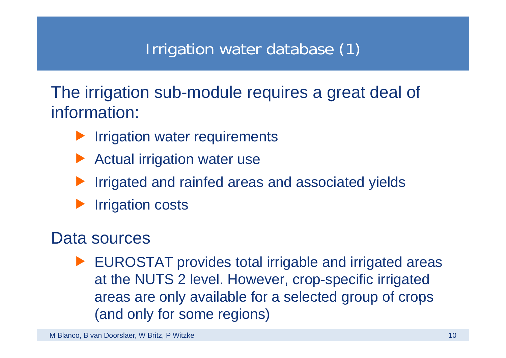#### Irrigation water database (1)

The irrigation sub-module requires a great deal of<br>information:

- **Figation water requirements**
- Actual irrigation water use
- fIrrigated and rainfed areas and associated yields
- fIrrigation costs

#### Data sources

 $\blacktriangleright$  EUROSTAT provides total irrigable and irrigated areas at the NUTS 2 level. However, crop-specific irrigated areas are only available for <sup>a</sup> selected group of crops areas group of (and only for some regions)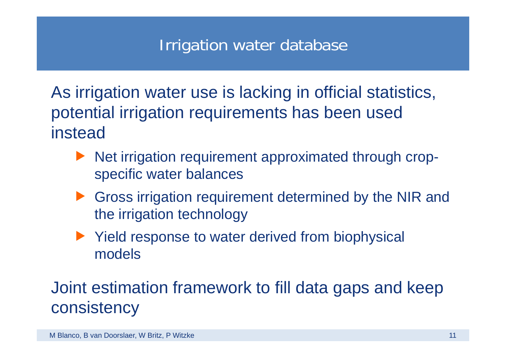#### Irrigation water database

As irrigation water use is lacking in official statistics, potential irrigation requirements has been used instead

- **Net irrigation requirement approximated through crop**specific water balances
- **Figure 1** Gross irrigation requirement determined by the NIR and the irrigation technology
- $\blacktriangleright$  Yield response to water derived from biophysical models

#### Joint estimation framework to fill data gaps and keep consistency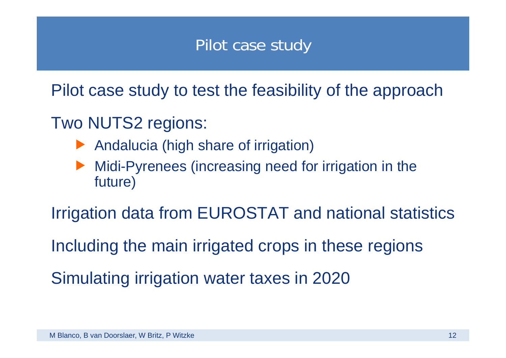#### Pilot case study

Pilot case study to test the feasibility of the approach

#### Two NUTS2 regions:

- Andalucia (high share of irrigation)
- f Midi-Pyrenees (increasing need for irrigation in the future)

Irrigation data from EUROSTAT and national statistics

Including the main irrigated crops in these regions

Simulating irrigation water taxes in 2020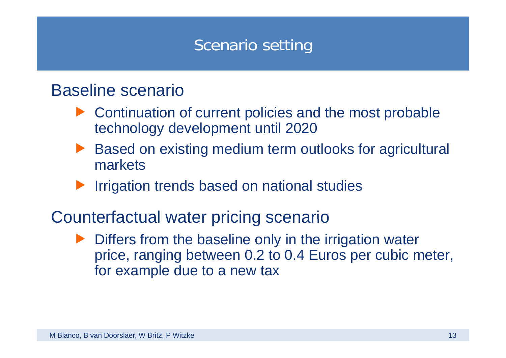#### Scenario setting

#### Baseline scenario

- $\blacktriangleright$  Continuation of current policies and the most probable technology development until 2020
- f Based on existing medium term outlooks for agricultural markets
- **Figation trends based on national studies**
- Counterfactual water pricing scenario
	- $\blacktriangleright$  Differs from the baseline only in the irrigation water price, ranging between 0.2 to 0.4 Euros per cubic meter, for example due to a new tax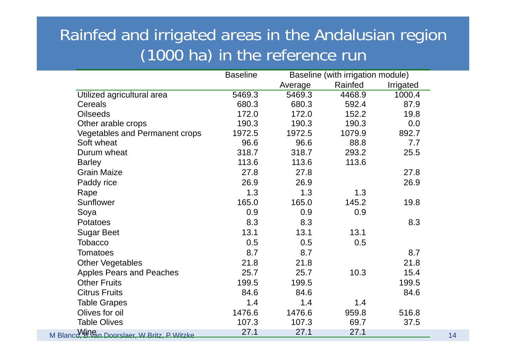#### Rainfed and irrigated areas in the Andalusian region (1000 ha) in the reference run

|                                                        | <b>Baseline</b> | Baseline (with irrigation module) |         |           |    |
|--------------------------------------------------------|-----------------|-----------------------------------|---------|-----------|----|
|                                                        |                 | Average                           | Rainfed | Irrigated |    |
| Utilized agricultural area                             | 5469.3          | 5469.3                            | 4468.9  | 1000.4    |    |
| Cereals                                                | 680.3           | 680.3                             | 592.4   | 87.9      |    |
| <b>Oilseeds</b>                                        | 172.0           | 172.0                             | 152.2   | 19.8      |    |
| Other arable crops                                     | 190.3           | 190.3                             | 190.3   | 0.0       |    |
| <b>Vegetables and Permanent crops</b>                  | 1972.5          | 1972.5                            | 1079.9  | 892.7     |    |
| Soft wheat                                             | 96.6            | 96.6                              | 88.8    | 7.7       |    |
| Durum wheat                                            | 318.7           | 318.7                             | 293.2   | 25.5      |    |
| <b>Barley</b>                                          | 113.6           | 113.6                             | 113.6   |           |    |
| <b>Grain Maize</b>                                     | 27.8            | 27.8                              |         | 27.8      |    |
| Paddy rice                                             | 26.9            | 26.9                              |         | 26.9      |    |
| Rape                                                   | 1.3             | 1.3                               | 1.3     |           |    |
| Sunflower                                              | 165.0           | 165.0                             | 145.2   | 19.8      |    |
| Soya                                                   | 0.9             | 0.9                               | 0.9     |           |    |
| Potatoes                                               | 8.3             | 8.3                               |         | 8.3       |    |
| <b>Sugar Beet</b>                                      | 13.1            | 13.1                              | 13.1    |           |    |
| Tobacco                                                | 0.5             | 0.5                               | 0.5     |           |    |
| <b>Tomatoes</b>                                        | 8.7             | 8.7                               |         | 8.7       |    |
| <b>Other Vegetables</b>                                | 21.8            | 21.8                              |         | 21.8      |    |
| <b>Apples Pears and Peaches</b>                        | 25.7            | 25.7                              | 10.3    | 15.4      |    |
| <b>Other Fruits</b>                                    | 199.5           | 199.5                             |         | 199.5     |    |
| <b>Citrus Fruits</b>                                   | 84.6            | 84.6                              |         | 84.6      |    |
| <b>Table Grapes</b>                                    | 1.4             | 1.4                               | 1.4     |           |    |
| Olives for oil                                         | 1476.6          | 1476.6                            | 959.8   | 516.8     |    |
| <b>Table Olives</b>                                    | 107.3           | 107.3                             | 69.7    | 37.5      |    |
| M Blanco <sup>V</sup> HR Doorslaer, W Britz, P Witzke. | 27.1            | 27.1                              | 27.1    |           | 14 |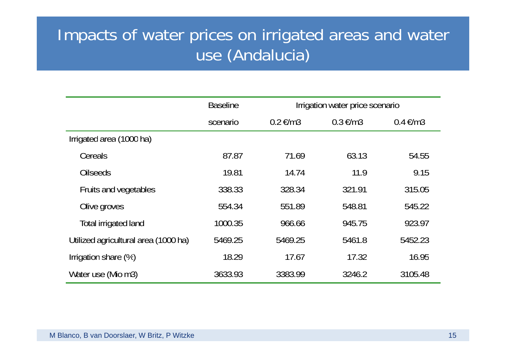#### Impacts of water prices on irrigated areas and water use (Andalucia)

|                                      | <b>Baseline</b> |                         | Irrigation water price scenario |                         |  |
|--------------------------------------|-----------------|-------------------------|---------------------------------|-------------------------|--|
|                                      | scenario        | $0.2 \text{ } \in / m3$ | $0.3 \text{ } \in / m3$         | $0.4 \text{ } \in / m3$ |  |
| Irrigated area (1000 ha)             |                 |                         |                                 |                         |  |
| Cereals                              | 87.87           | 71.69                   | 63.13                           | 54.55                   |  |
| <b>Oilseeds</b>                      | 19.81           | 14.74                   | 11.9                            | 9.15                    |  |
| Fruits and vegetables                | 338.33          | 328.34                  | 321.91                          | 315.05                  |  |
| Olive groves                         | 554.34          | 551.89                  | 548.81                          | 545.22                  |  |
| Total irrigated land                 | 1000.35         | 966.66                  | 945.75                          | 923.97                  |  |
| Utilized agricultural area (1000 ha) | 5469.25         | 5469.25                 | 5461.8                          | 5452.23                 |  |
| Irrigation share (%)                 | 18.29           | 17.67                   | 17.32                           | 16.95                   |  |
| Water use (Mio m3)                   | 3633.93         | 3383.99                 | 3246.2                          | 3105.48                 |  |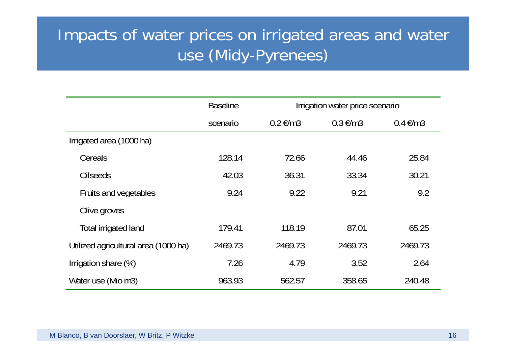#### Impacts of water prices on irrigated areas and water use (Midy-Pyrenees)

|                                      | <b>Baseline</b> |                               | Irrigation water price scenario |                         |  |
|--------------------------------------|-----------------|-------------------------------|---------------------------------|-------------------------|--|
|                                      | scenario        | $0.2 \text{ } \in \text{/m3}$ | $0.3 \text{ } \in / m3$         | $0.4 \text{ } \in / m3$ |  |
| Irrigated area (1000 ha)             |                 |                               |                                 |                         |  |
| Cereals                              | 128.14          | 72.66                         | 44.46                           | 25.84                   |  |
| <b>Oilseeds</b>                      | 42.03           | 36.31                         | 33.34                           | 30.21                   |  |
| Fruits and vegetables                | 9.24            | 9.22                          | 9.21                            | 9.2                     |  |
| Olive groves                         |                 |                               |                                 |                         |  |
| Total irrigated land                 | 179.41          | 118.19                        | 87.01                           | 65.25                   |  |
| Utilized agricultural area (1000 ha) | 2469.73         | 2469.73                       | 2469.73                         | 2469.73                 |  |
| Irrigation share (%)                 | 7.26            | 4.79                          | 3.52                            | 2.64                    |  |
| Water use (Mio m3)                   | 963.93          | 562.57                        | 358.65                          | 240.48                  |  |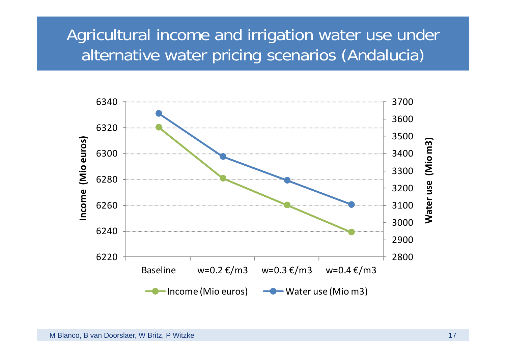#### Agricultural income and irrigation water use under alternative water pricing scenarios (Andalucia)

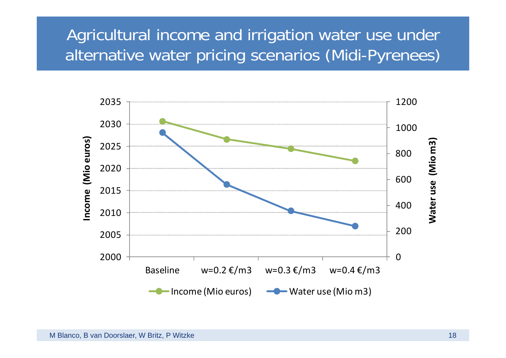#### Agricultural income and irrigation water use under alternative water pricing scenarios (Midi-Pyrenees)

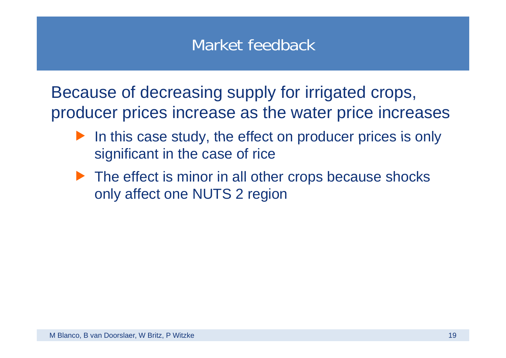#### Market feedback

Because of decreasing supply for irrigated crops, producer prices increase as the water price increases

- $\blacktriangleright$  In this case study, the effect on producer prices is only significant in the case of rice
- $\blacktriangleright$  The effect is minor in all other crops because shocks only affect one NUTS 2 region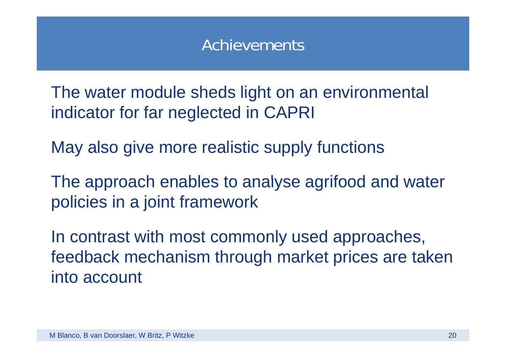#### Achievements

The water module sheds light on an environmental indicator for far neglected in CAPRI

May also give more realistic supply functions

The approach enables to analyse agrifood and water policies in a joint framework

In contrast with most commonly used approaches, feedback mechanism through market prices are taken into account